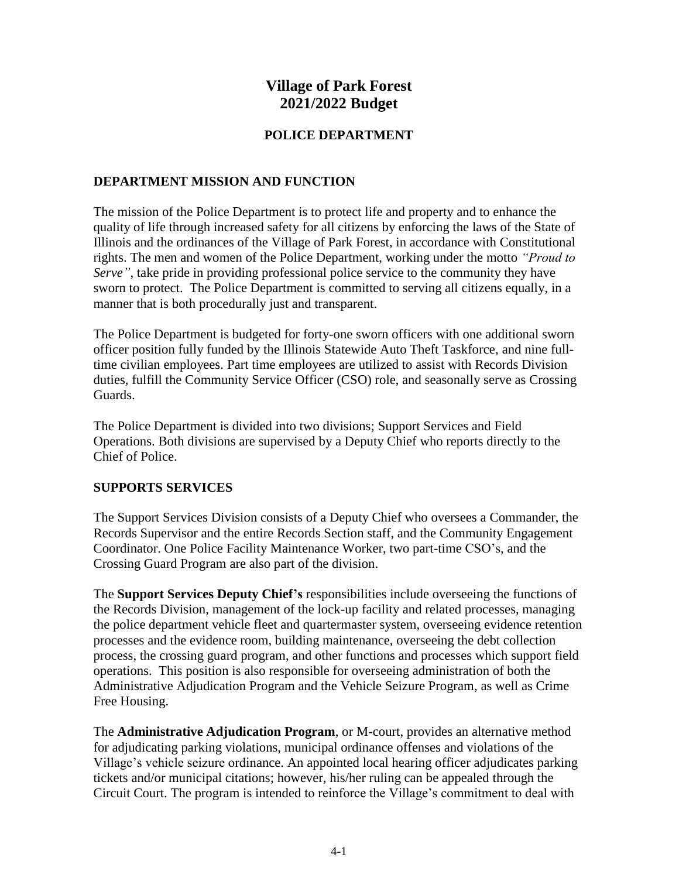# **Village of Park Forest 2021/2022 Budget**

## **POLICE DEPARTMENT**

### **DEPARTMENT MISSION AND FUNCTION**

The mission of the Police Department is to protect life and property and to enhance the quality of life through increased safety for all citizens by enforcing the laws of the State of Illinois and the ordinances of the Village of Park Forest, in accordance with Constitutional rights. The men and women of the Police Department, working under the motto *"Proud to Serve*", take pride in providing professional police service to the community they have sworn to protect. The Police Department is committed to serving all citizens equally, in a manner that is both procedurally just and transparent.

The Police Department is budgeted for forty-one sworn officers with one additional sworn officer position fully funded by the Illinois Statewide Auto Theft Taskforce, and nine fulltime civilian employees. Part time employees are utilized to assist with Records Division duties, fulfill the Community Service Officer (CSO) role, and seasonally serve as Crossing Guards.

The Police Department is divided into two divisions; Support Services and Field Operations. Both divisions are supervised by a Deputy Chief who reports directly to the Chief of Police.

#### **SUPPORTS SERVICES**

The Support Services Division consists of a Deputy Chief who oversees a Commander, the Records Supervisor and the entire Records Section staff, and the Community Engagement Coordinator. One Police Facility Maintenance Worker, two part-time CSO's, and the Crossing Guard Program are also part of the division.

The **Support Services Deputy Chief's** responsibilities include overseeing the functions of the Records Division, management of the lock-up facility and related processes, managing the police department vehicle fleet and quartermaster system, overseeing evidence retention processes and the evidence room, building maintenance, overseeing the debt collection process, the crossing guard program, and other functions and processes which support field operations. This position is also responsible for overseeing administration of both the Administrative Adjudication Program and the Vehicle Seizure Program, as well as Crime Free Housing.

The **Administrative Adjudication Program**, or M-court, provides an alternative method for adjudicating parking violations, municipal ordinance offenses and violations of the Village's vehicle seizure ordinance. An appointed local hearing officer adjudicates parking tickets and/or municipal citations; however, his/her ruling can be appealed through the Circuit Court. The program is intended to reinforce the Village's commitment to deal with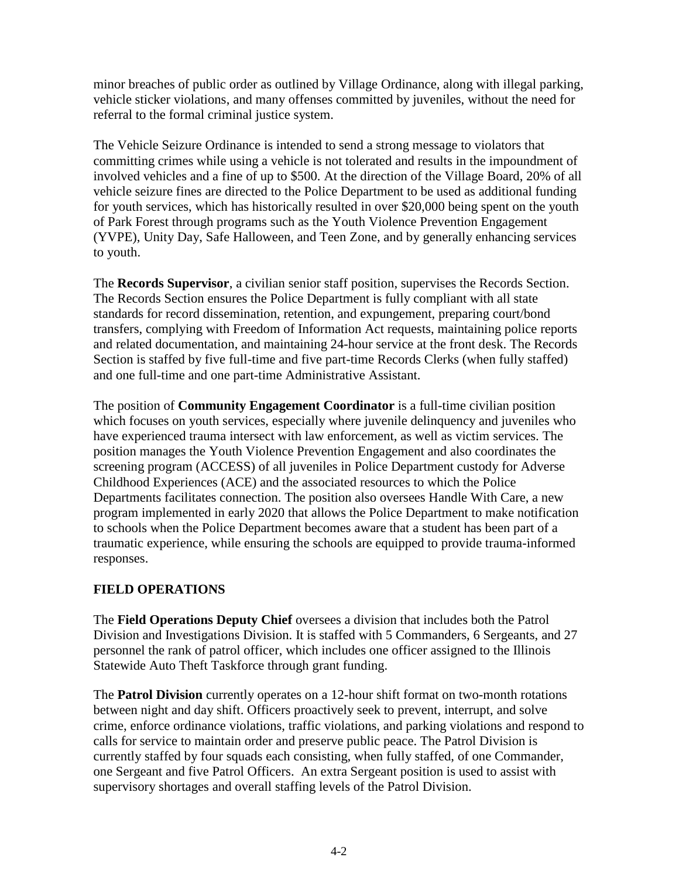minor breaches of public order as outlined by Village Ordinance, along with illegal parking, vehicle sticker violations, and many offenses committed by juveniles, without the need for referral to the formal criminal justice system.

The Vehicle Seizure Ordinance is intended to send a strong message to violators that committing crimes while using a vehicle is not tolerated and results in the impoundment of involved vehicles and a fine of up to \$500. At the direction of the Village Board, 20% of all vehicle seizure fines are directed to the Police Department to be used as additional funding for youth services, which has historically resulted in over \$20,000 being spent on the youth of Park Forest through programs such as the Youth Violence Prevention Engagement (YVPE), Unity Day, Safe Halloween, and Teen Zone, and by generally enhancing services to youth.

The **Records Supervisor**, a civilian senior staff position, supervises the Records Section. The Records Section ensures the Police Department is fully compliant with all state standards for record dissemination, retention, and expungement, preparing court/bond transfers, complying with Freedom of Information Act requests, maintaining police reports and related documentation, and maintaining 24-hour service at the front desk. The Records Section is staffed by five full-time and five part-time Records Clerks (when fully staffed) and one full-time and one part-time Administrative Assistant.

The position of **Community Engagement Coordinator** is a full-time civilian position which focuses on youth services, especially where juvenile delinquency and juveniles who have experienced trauma intersect with law enforcement, as well as victim services. The position manages the Youth Violence Prevention Engagement and also coordinates the screening program (ACCESS) of all juveniles in Police Department custody for Adverse Childhood Experiences (ACE) and the associated resources to which the Police Departments facilitates connection. The position also oversees Handle With Care, a new program implemented in early 2020 that allows the Police Department to make notification to schools when the Police Department becomes aware that a student has been part of a traumatic experience, while ensuring the schools are equipped to provide trauma-informed responses.

# **FIELD OPERATIONS**

The **Field Operations Deputy Chief** oversees a division that includes both the Patrol Division and Investigations Division. It is staffed with 5 Commanders, 6 Sergeants, and 27 personnel the rank of patrol officer, which includes one officer assigned to the Illinois Statewide Auto Theft Taskforce through grant funding.

The **Patrol Division** currently operates on a 12-hour shift format on two-month rotations between night and day shift. Officers proactively seek to prevent, interrupt, and solve crime, enforce ordinance violations, traffic violations, and parking violations and respond to calls for service to maintain order and preserve public peace. The Patrol Division is currently staffed by four squads each consisting, when fully staffed, of one Commander, one Sergeant and five Patrol Officers. An extra Sergeant position is used to assist with supervisory shortages and overall staffing levels of the Patrol Division.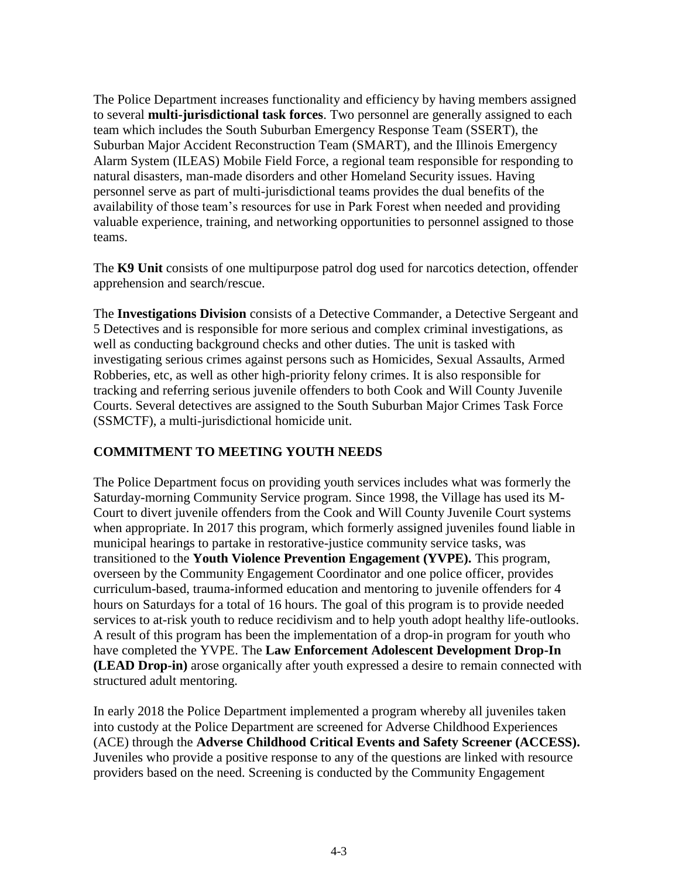The Police Department increases functionality and efficiency by having members assigned to several **multi-jurisdictional task forces**. Two personnel are generally assigned to each team which includes the South Suburban Emergency Response Team (SSERT), the Suburban Major Accident Reconstruction Team (SMART), and the Illinois Emergency Alarm System (ILEAS) Mobile Field Force, a regional team responsible for responding to natural disasters, man-made disorders and other Homeland Security issues. Having personnel serve as part of multi-jurisdictional teams provides the dual benefits of the availability of those team's resources for use in Park Forest when needed and providing valuable experience, training, and networking opportunities to personnel assigned to those teams.

The **K9 Unit** consists of one multipurpose patrol dog used for narcotics detection, offender apprehension and search/rescue.

The **Investigations Division** consists of a Detective Commander, a Detective Sergeant and 5 Detectives and is responsible for more serious and complex criminal investigations, as well as conducting background checks and other duties. The unit is tasked with investigating serious crimes against persons such as Homicides, Sexual Assaults, Armed Robberies, etc, as well as other high-priority felony crimes. It is also responsible for tracking and referring serious juvenile offenders to both Cook and Will County Juvenile Courts. Several detectives are assigned to the South Suburban Major Crimes Task Force (SSMCTF), a multi-jurisdictional homicide unit.

# **COMMITMENT TO MEETING YOUTH NEEDS**

The Police Department focus on providing youth services includes what was formerly the Saturday-morning Community Service program. Since 1998, the Village has used its M-Court to divert juvenile offenders from the Cook and Will County Juvenile Court systems when appropriate. In 2017 this program, which formerly assigned juveniles found liable in municipal hearings to partake in restorative-justice community service tasks, was transitioned to the **Youth Violence Prevention Engagement (YVPE).** This program, overseen by the Community Engagement Coordinator and one police officer, provides curriculum-based, trauma-informed education and mentoring to juvenile offenders for 4 hours on Saturdays for a total of 16 hours. The goal of this program is to provide needed services to at-risk youth to reduce recidivism and to help youth adopt healthy life-outlooks. A result of this program has been the implementation of a drop-in program for youth who have completed the YVPE. The **Law Enforcement Adolescent Development Drop-In (LEAD Drop-in)** arose organically after youth expressed a desire to remain connected with structured adult mentoring.

In early 2018 the Police Department implemented a program whereby all juveniles taken into custody at the Police Department are screened for Adverse Childhood Experiences (ACE) through the **Adverse Childhood Critical Events and Safety Screener (ACCESS).** Juveniles who provide a positive response to any of the questions are linked with resource providers based on the need. Screening is conducted by the Community Engagement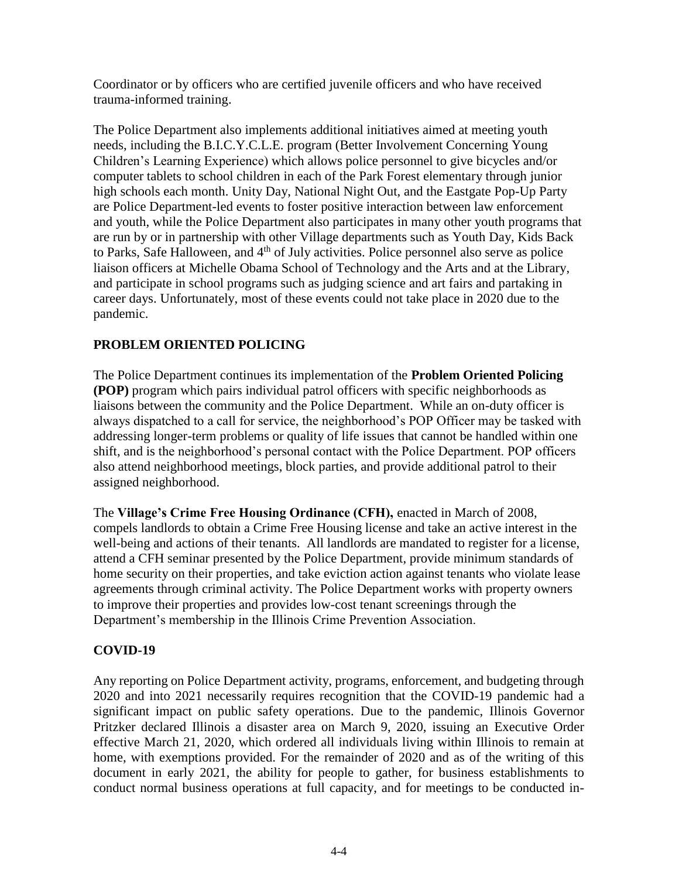Coordinator or by officers who are certified juvenile officers and who have received trauma-informed training.

The Police Department also implements additional initiatives aimed at meeting youth needs, including the B.I.C.Y.C.L.E. program (Better Involvement Concerning Young Children's Learning Experience) which allows police personnel to give bicycles and/or computer tablets to school children in each of the Park Forest elementary through junior high schools each month. Unity Day, National Night Out, and the Eastgate Pop-Up Party are Police Department-led events to foster positive interaction between law enforcement and youth, while the Police Department also participates in many other youth programs that are run by or in partnership with other Village departments such as Youth Day, Kids Back to Parks, Safe Halloween, and 4<sup>th</sup> of July activities. Police personnel also serve as police liaison officers at Michelle Obama School of Technology and the Arts and at the Library, and participate in school programs such as judging science and art fairs and partaking in career days. Unfortunately, most of these events could not take place in 2020 due to the pandemic.

# **PROBLEM ORIENTED POLICING**

The Police Department continues its implementation of the **Problem Oriented Policing (POP)** program which pairs individual patrol officers with specific neighborhoods as liaisons between the community and the Police Department. While an on-duty officer is always dispatched to a call for service, the neighborhood's POP Officer may be tasked with addressing longer-term problems or quality of life issues that cannot be handled within one shift, and is the neighborhood's personal contact with the Police Department. POP officers also attend neighborhood meetings, block parties, and provide additional patrol to their assigned neighborhood.

The **Village's Crime Free Housing Ordinance (CFH),** enacted in March of 2008, compels landlords to obtain a Crime Free Housing license and take an active interest in the well-being and actions of their tenants. All landlords are mandated to register for a license, attend a CFH seminar presented by the Police Department, provide minimum standards of home security on their properties, and take eviction action against tenants who violate lease agreements through criminal activity. The Police Department works with property owners to improve their properties and provides low-cost tenant screenings through the Department's membership in the Illinois Crime Prevention Association.

# **COVID-19**

Any reporting on Police Department activity, programs, enforcement, and budgeting through 2020 and into 2021 necessarily requires recognition that the COVID-19 pandemic had a significant impact on public safety operations. Due to the pandemic, Illinois Governor Pritzker declared Illinois a disaster area on March 9, 2020, issuing an Executive Order effective March 21, 2020, which ordered all individuals living within Illinois to remain at home, with exemptions provided. For the remainder of 2020 and as of the writing of this document in early 2021, the ability for people to gather, for business establishments to conduct normal business operations at full capacity, and for meetings to be conducted in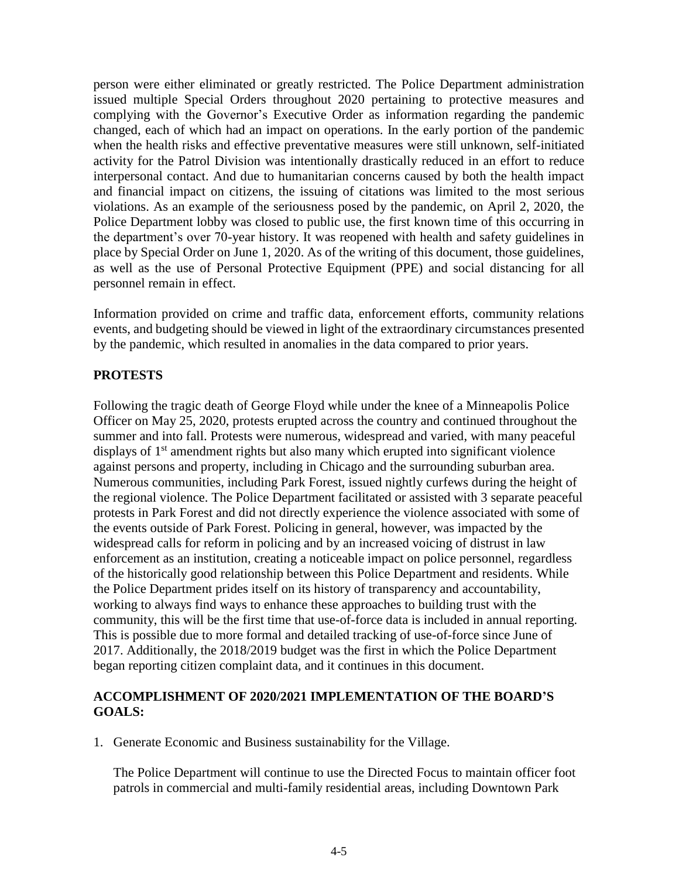person were either eliminated or greatly restricted. The Police Department administration issued multiple Special Orders throughout 2020 pertaining to protective measures and complying with the Governor's Executive Order as information regarding the pandemic changed, each of which had an impact on operations. In the early portion of the pandemic when the health risks and effective preventative measures were still unknown, self-initiated activity for the Patrol Division was intentionally drastically reduced in an effort to reduce interpersonal contact. And due to humanitarian concerns caused by both the health impact and financial impact on citizens, the issuing of citations was limited to the most serious violations. As an example of the seriousness posed by the pandemic, on April 2, 2020, the Police Department lobby was closed to public use, the first known time of this occurring in the department's over 70-year history. It was reopened with health and safety guidelines in place by Special Order on June 1, 2020. As of the writing of this document, those guidelines, as well as the use of Personal Protective Equipment (PPE) and social distancing for all personnel remain in effect.

Information provided on crime and traffic data, enforcement efforts, community relations events, and budgeting should be viewed in light of the extraordinary circumstances presented by the pandemic, which resulted in anomalies in the data compared to prior years.

## **PROTESTS**

Following the tragic death of George Floyd while under the knee of a Minneapolis Police Officer on May 25, 2020, protests erupted across the country and continued throughout the summer and into fall. Protests were numerous, widespread and varied, with many peaceful displays of 1<sup>st</sup> amendment rights but also many which erupted into significant violence against persons and property, including in Chicago and the surrounding suburban area. Numerous communities, including Park Forest, issued nightly curfews during the height of the regional violence. The Police Department facilitated or assisted with 3 separate peaceful protests in Park Forest and did not directly experience the violence associated with some of the events outside of Park Forest. Policing in general, however, was impacted by the widespread calls for reform in policing and by an increased voicing of distrust in law enforcement as an institution, creating a noticeable impact on police personnel, regardless of the historically good relationship between this Police Department and residents. While the Police Department prides itself on its history of transparency and accountability, working to always find ways to enhance these approaches to building trust with the community, this will be the first time that use-of-force data is included in annual reporting. This is possible due to more formal and detailed tracking of use-of-force since June of 2017. Additionally, the 2018/2019 budget was the first in which the Police Department began reporting citizen complaint data, and it continues in this document.

## **ACCOMPLISHMENT OF 2020/2021 IMPLEMENTATION OF THE BOARD'S GOALS:**

1. Generate Economic and Business sustainability for the Village.

The Police Department will continue to use the Directed Focus to maintain officer foot patrols in commercial and multi-family residential areas, including Downtown Park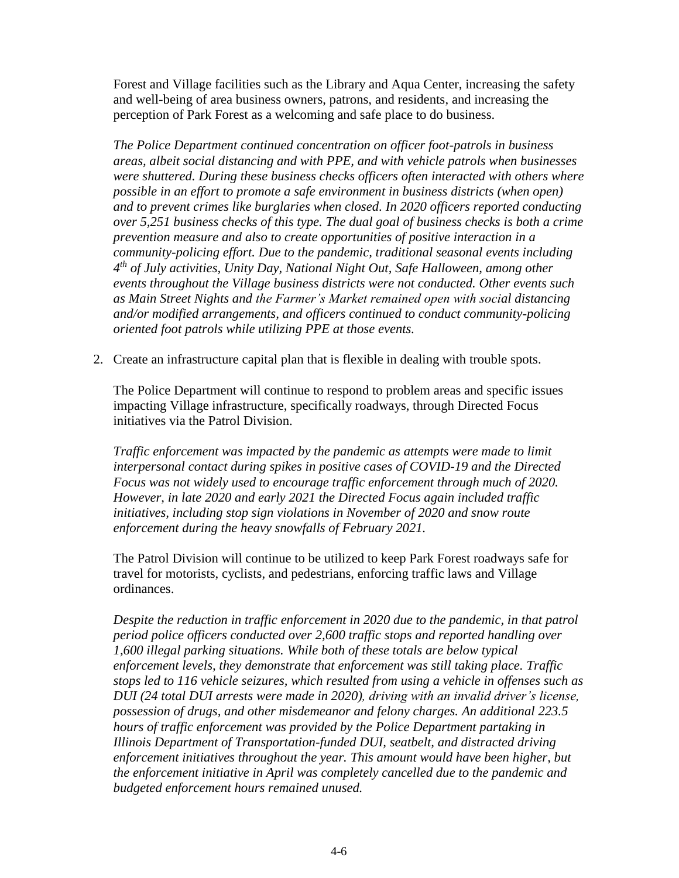Forest and Village facilities such as the Library and Aqua Center, increasing the safety and well-being of area business owners, patrons, and residents, and increasing the perception of Park Forest as a welcoming and safe place to do business.

*The Police Department continued concentration on officer foot-patrols in business areas, albeit social distancing and with PPE, and with vehicle patrols when businesses were shuttered. During these business checks officers often interacted with others where possible in an effort to promote a safe environment in business districts (when open) and to prevent crimes like burglaries when closed. In 2020 officers reported conducting over 5,251 business checks of this type. The dual goal of business checks is both a crime prevention measure and also to create opportunities of positive interaction in a community-policing effort. Due to the pandemic, traditional seasonal events including 4 th of July activities, Unity Day, National Night Out, Safe Halloween, among other events throughout the Village business districts were not conducted. Other events such as Main Street Nights and the Farmer's Market remained open with social distancing and/or modified arrangements, and officers continued to conduct community-policing oriented foot patrols while utilizing PPE at those events.* 

2. Create an infrastructure capital plan that is flexible in dealing with trouble spots.

The Police Department will continue to respond to problem areas and specific issues impacting Village infrastructure, specifically roadways, through Directed Focus initiatives via the Patrol Division.

*Traffic enforcement was impacted by the pandemic as attempts were made to limit interpersonal contact during spikes in positive cases of COVID-19 and the Directed Focus was not widely used to encourage traffic enforcement through much of 2020. However, in late 2020 and early 2021 the Directed Focus again included traffic initiatives, including stop sign violations in November of 2020 and snow route enforcement during the heavy snowfalls of February 2021.* 

The Patrol Division will continue to be utilized to keep Park Forest roadways safe for travel for motorists, cyclists, and pedestrians, enforcing traffic laws and Village ordinances.

*Despite the reduction in traffic enforcement in 2020 due to the pandemic, in that patrol period police officers conducted over 2,600 traffic stops and reported handling over 1,600 illegal parking situations. While both of these totals are below typical enforcement levels, they demonstrate that enforcement was still taking place. Traffic stops led to 116 vehicle seizures, which resulted from using a vehicle in offenses such as DUI (24 total DUI arrests were made in 2020), driving with an invalid driver's license, possession of drugs, and other misdemeanor and felony charges. An additional 223.5 hours of traffic enforcement was provided by the Police Department partaking in Illinois Department of Transportation-funded DUI, seatbelt, and distracted driving enforcement initiatives throughout the year. This amount would have been higher, but the enforcement initiative in April was completely cancelled due to the pandemic and budgeted enforcement hours remained unused.*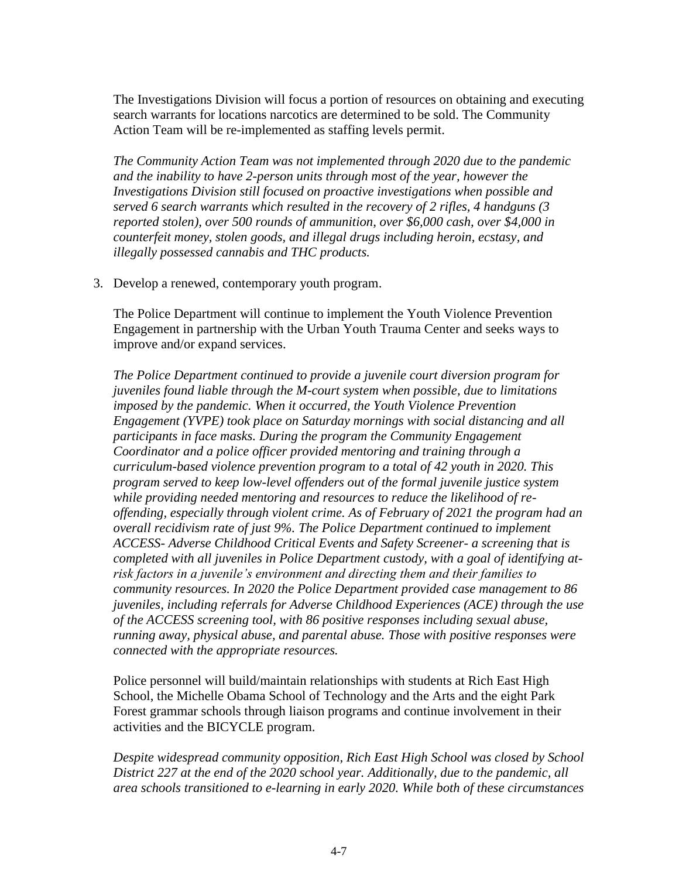The Investigations Division will focus a portion of resources on obtaining and executing search warrants for locations narcotics are determined to be sold. The Community Action Team will be re-implemented as staffing levels permit.

*The Community Action Team was not implemented through 2020 due to the pandemic and the inability to have 2-person units through most of the year, however the Investigations Division still focused on proactive investigations when possible and served 6 search warrants which resulted in the recovery of 2 rifles, 4 handguns (3 reported stolen), over 500 rounds of ammunition, over \$6,000 cash, over \$4,000 in counterfeit money, stolen goods, and illegal drugs including heroin, ecstasy, and illegally possessed cannabis and THC products.* 

3. Develop a renewed, contemporary youth program.

The Police Department will continue to implement the Youth Violence Prevention Engagement in partnership with the Urban Youth Trauma Center and seeks ways to improve and/or expand services.

*The Police Department continued to provide a juvenile court diversion program for juveniles found liable through the M-court system when possible, due to limitations imposed by the pandemic. When it occurred, the Youth Violence Prevention Engagement (YVPE) took place on Saturday mornings with social distancing and all participants in face masks. During the program the Community Engagement Coordinator and a police officer provided mentoring and training through a curriculum-based violence prevention program to a total of 42 youth in 2020. This program served to keep low-level offenders out of the formal juvenile justice system while providing needed mentoring and resources to reduce the likelihood of reoffending, especially through violent crime. As of February of 2021 the program had an overall recidivism rate of just 9%. The Police Department continued to implement ACCESS- Adverse Childhood Critical Events and Safety Screener- a screening that is completed with all juveniles in Police Department custody, with a goal of identifying atrisk factors in a juvenile's environment and directing them and their families to community resources. In 2020 the Police Department provided case management to 86 juveniles, including referrals for Adverse Childhood Experiences (ACE) through the use of the ACCESS screening tool, with 86 positive responses including sexual abuse, running away, physical abuse, and parental abuse. Those with positive responses were connected with the appropriate resources.*

Police personnel will build/maintain relationships with students at Rich East High School, the Michelle Obama School of Technology and the Arts and the eight Park Forest grammar schools through liaison programs and continue involvement in their activities and the BICYCLE program.

*Despite widespread community opposition, Rich East High School was closed by School District 227 at the end of the 2020 school year. Additionally, due to the pandemic, all area schools transitioned to e-learning in early 2020. While both of these circumstances*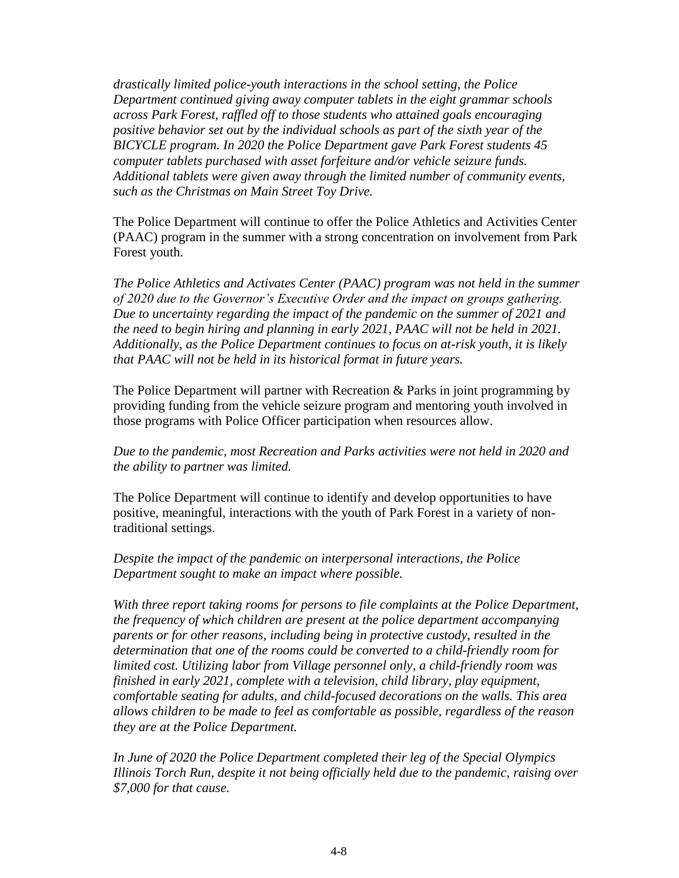*drastically limited police-youth interactions in the school setting, the Police Department continued giving away computer tablets in the eight grammar schools across Park Forest, raffled off to those students who attained goals encouraging positive behavior set out by the individual schools as part of the sixth year of the BICYCLE program. In 2020 the Police Department gave Park Forest students 45 computer tablets purchased with asset forfeiture and/or vehicle seizure funds. Additional tablets were given away through the limited number of community events, such as the Christmas on Main Street Toy Drive.* 

The Police Department will continue to offer the Police Athletics and Activities Center (PAAC) program in the summer with a strong concentration on involvement from Park Forest youth.

*The Police Athletics and Activates Center (PAAC) program was not held in the summer of 2020 due to the Governor's Executive Order and the impact on groups gathering. Due to uncertainty regarding the impact of the pandemic on the summer of 2021 and the need to begin hiring and planning in early 2021, PAAC will not be held in 2021. Additionally, as the Police Department continues to focus on at-risk youth, it is likely that PAAC will not be held in its historical format in future years.* 

The Police Department will partner with Recreation & Parks in joint programming by providing funding from the vehicle seizure program and mentoring youth involved in those programs with Police Officer participation when resources allow.

*Due to the pandemic, most Recreation and Parks activities were not held in 2020 and the ability to partner was limited.* 

The Police Department will continue to identify and develop opportunities to have positive, meaningful, interactions with the youth of Park Forest in a variety of nontraditional settings.

*Despite the impact of the pandemic on interpersonal interactions, the Police Department sought to make an impact where possible.* 

*With three report taking rooms for persons to file complaints at the Police Department, the frequency of which children are present at the police department accompanying parents or for other reasons, including being in protective custody, resulted in the determination that one of the rooms could be converted to a child-friendly room for limited cost. Utilizing labor from Village personnel only, a child-friendly room was finished in early 2021, complete with a television, child library, play equipment, comfortable seating for adults, and child-focused decorations on the walls. This area allows children to be made to feel as comfortable as possible, regardless of the reason they are at the Police Department.* 

*In June of 2020 the Police Department completed their leg of the Special Olympics Illinois Torch Run, despite it not being officially held due to the pandemic, raising over \$7,000 for that cause.*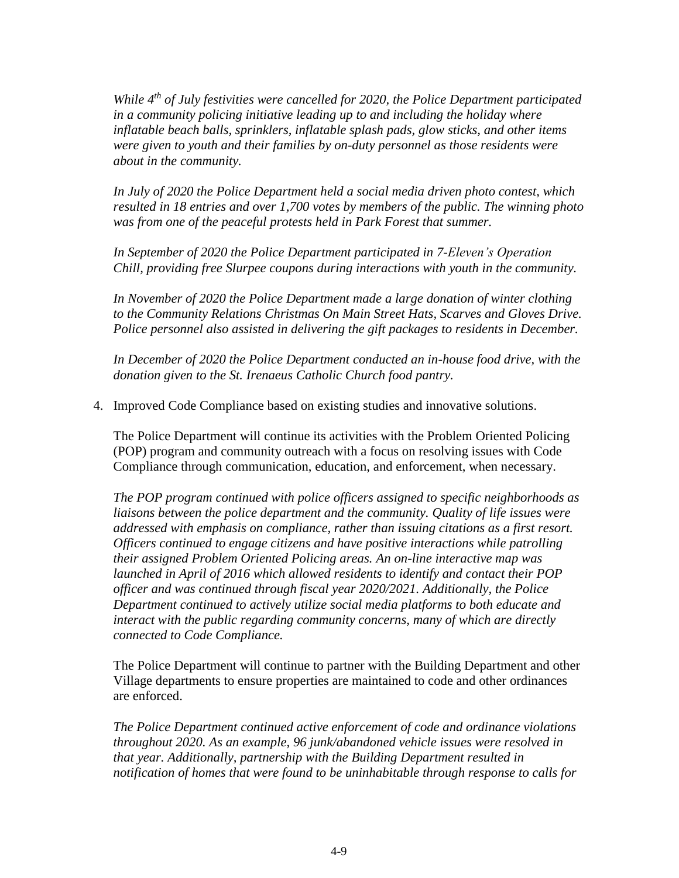*While 4th of July festivities were cancelled for 2020, the Police Department participated in a community policing initiative leading up to and including the holiday where inflatable beach balls, sprinklers, inflatable splash pads, glow sticks, and other items were given to youth and their families by on-duty personnel as those residents were about in the community.* 

*In July of 2020 the Police Department held a social media driven photo contest, which resulted in 18 entries and over 1,700 votes by members of the public. The winning photo was from one of the peaceful protests held in Park Forest that summer.* 

*In September of 2020 the Police Department participated in 7-Eleven's Operation Chill, providing free Slurpee coupons during interactions with youth in the community.* 

*In November of 2020 the Police Department made a large donation of winter clothing to the Community Relations Christmas On Main Street Hats, Scarves and Gloves Drive. Police personnel also assisted in delivering the gift packages to residents in December.* 

*In December of 2020 the Police Department conducted an in-house food drive, with the donation given to the St. Irenaeus Catholic Church food pantry.* 

4. Improved Code Compliance based on existing studies and innovative solutions.

The Police Department will continue its activities with the Problem Oriented Policing (POP) program and community outreach with a focus on resolving issues with Code Compliance through communication, education, and enforcement, when necessary.

*The POP program continued with police officers assigned to specific neighborhoods as liaisons between the police department and the community. Quality of life issues were addressed with emphasis on compliance, rather than issuing citations as a first resort. Officers continued to engage citizens and have positive interactions while patrolling their assigned Problem Oriented Policing areas. An on-line interactive map was launched in April of 2016 which allowed residents to identify and contact their POP officer and was continued through fiscal year 2020/2021. Additionally, the Police Department continued to actively utilize social media platforms to both educate and interact with the public regarding community concerns, many of which are directly connected to Code Compliance.*

The Police Department will continue to partner with the Building Department and other Village departments to ensure properties are maintained to code and other ordinances are enforced.

*The Police Department continued active enforcement of code and ordinance violations throughout 2020. As an example, 96 junk/abandoned vehicle issues were resolved in that year. Additionally, partnership with the Building Department resulted in notification of homes that were found to be uninhabitable through response to calls for*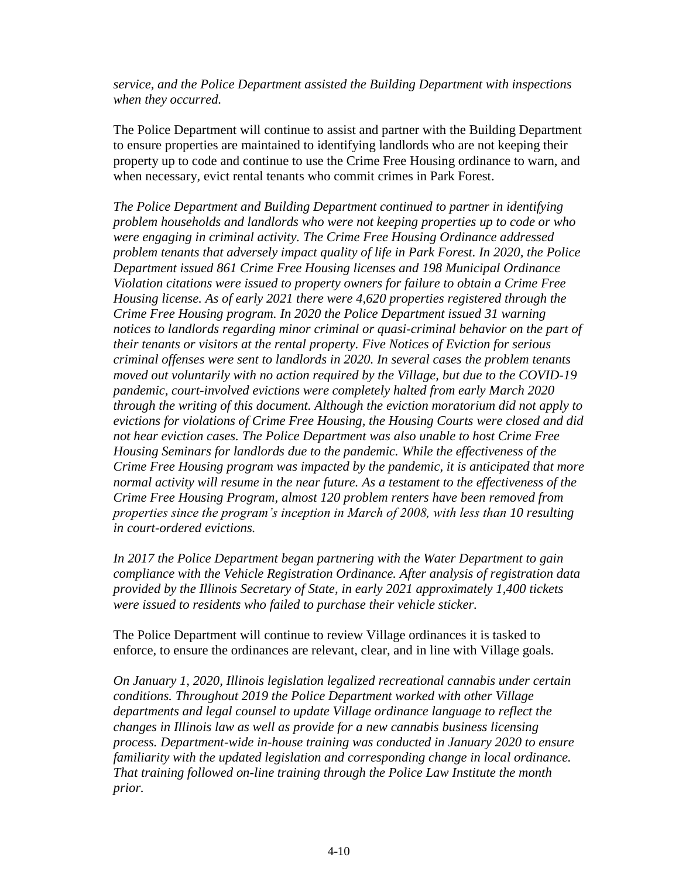*service, and the Police Department assisted the Building Department with inspections when they occurred.* 

The Police Department will continue to assist and partner with the Building Department to ensure properties are maintained to identifying landlords who are not keeping their property up to code and continue to use the Crime Free Housing ordinance to warn, and when necessary, evict rental tenants who commit crimes in Park Forest.

*The Police Department and Building Department continued to partner in identifying problem households and landlords who were not keeping properties up to code or who were engaging in criminal activity. The Crime Free Housing Ordinance addressed problem tenants that adversely impact quality of life in Park Forest. In 2020, the Police Department issued 861 Crime Free Housing licenses and 198 Municipal Ordinance Violation citations were issued to property owners for failure to obtain a Crime Free Housing license. As of early 2021 there were 4,620 properties registered through the Crime Free Housing program. In 2020 the Police Department issued 31 warning notices to landlords regarding minor criminal or quasi-criminal behavior on the part of their tenants or visitors at the rental property. Five Notices of Eviction for serious criminal offenses were sent to landlords in 2020. In several cases the problem tenants moved out voluntarily with no action required by the Village, but due to the COVID-19 pandemic, court-involved evictions were completely halted from early March 2020 through the writing of this document. Although the eviction moratorium did not apply to evictions for violations of Crime Free Housing, the Housing Courts were closed and did not hear eviction cases. The Police Department was also unable to host Crime Free Housing Seminars for landlords due to the pandemic. While the effectiveness of the Crime Free Housing program was impacted by the pandemic, it is anticipated that more normal activity will resume in the near future. As a testament to the effectiveness of the Crime Free Housing Program, almost 120 problem renters have been removed from properties since the program's inception in March of 2008, with less than 10 resulting in court-ordered evictions.*

*In 2017 the Police Department began partnering with the Water Department to gain compliance with the Vehicle Registration Ordinance. After analysis of registration data provided by the Illinois Secretary of State, in early 2021 approximately 1,400 tickets were issued to residents who failed to purchase their vehicle sticker.*

The Police Department will continue to review Village ordinances it is tasked to enforce, to ensure the ordinances are relevant, clear, and in line with Village goals.

*On January 1, 2020, Illinois legislation legalized recreational cannabis under certain conditions. Throughout 2019 the Police Department worked with other Village departments and legal counsel to update Village ordinance language to reflect the changes in Illinois law as well as provide for a new cannabis business licensing process. Department-wide in-house training was conducted in January 2020 to ensure familiarity with the updated legislation and corresponding change in local ordinance. That training followed on-line training through the Police Law Institute the month prior.*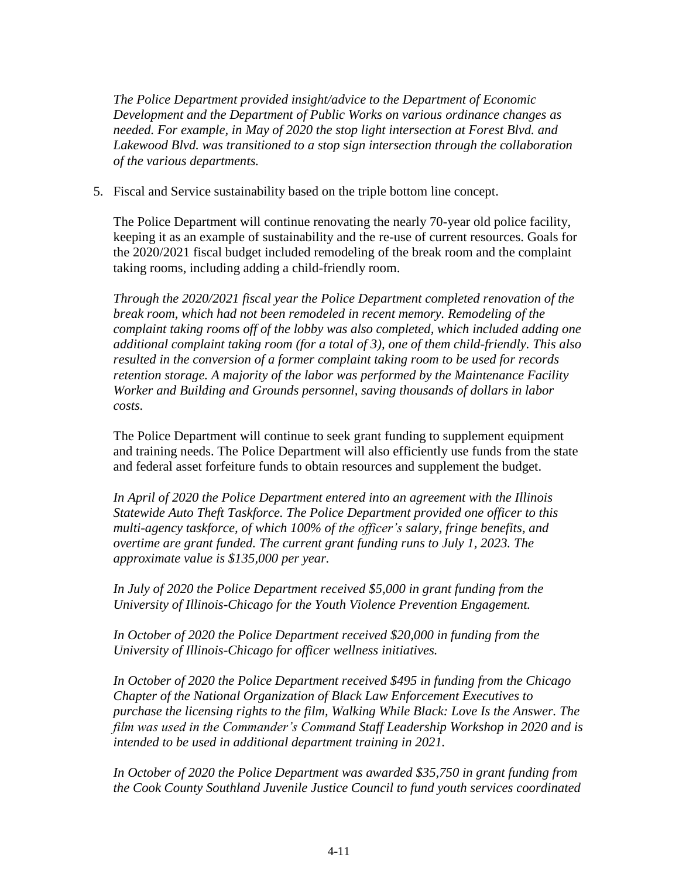*The Police Department provided insight/advice to the Department of Economic Development and the Department of Public Works on various ordinance changes as needed. For example, in May of 2020 the stop light intersection at Forest Blvd. and Lakewood Blvd. was transitioned to a stop sign intersection through the collaboration of the various departments.* 

5. Fiscal and Service sustainability based on the triple bottom line concept.

The Police Department will continue renovating the nearly 70-year old police facility, keeping it as an example of sustainability and the re-use of current resources. Goals for the 2020/2021 fiscal budget included remodeling of the break room and the complaint taking rooms, including adding a child-friendly room.

*Through the 2020/2021 fiscal year the Police Department completed renovation of the break room, which had not been remodeled in recent memory. Remodeling of the complaint taking rooms off of the lobby was also completed, which included adding one additional complaint taking room (for a total of 3), one of them child-friendly. This also resulted in the conversion of a former complaint taking room to be used for records retention storage. A majority of the labor was performed by the Maintenance Facility Worker and Building and Grounds personnel, saving thousands of dollars in labor costs.* 

The Police Department will continue to seek grant funding to supplement equipment and training needs. The Police Department will also efficiently use funds from the state and federal asset forfeiture funds to obtain resources and supplement the budget.

*In April of 2020 the Police Department entered into an agreement with the Illinois Statewide Auto Theft Taskforce. The Police Department provided one officer to this multi-agency taskforce, of which 100% of the officer's salary, fringe benefits, and overtime are grant funded. The current grant funding runs to July 1, 2023. The approximate value is \$135,000 per year.*

*In July of 2020 the Police Department received \$5,000 in grant funding from the University of Illinois-Chicago for the Youth Violence Prevention Engagement.* 

*In October of 2020 the Police Department received \$20,000 in funding from the University of Illinois-Chicago for officer wellness initiatives.*

*In October of 2020 the Police Department received \$495 in funding from the Chicago Chapter of the National Organization of Black Law Enforcement Executives to purchase the licensing rights to the film, Walking While Black: Love Is the Answer. The film was used in the Commander's Command Staff Leadership Workshop in 2020 and is intended to be used in additional department training in 2021.* 

*In October of 2020 the Police Department was awarded \$35,750 in grant funding from the Cook County Southland Juvenile Justice Council to fund youth services coordinated*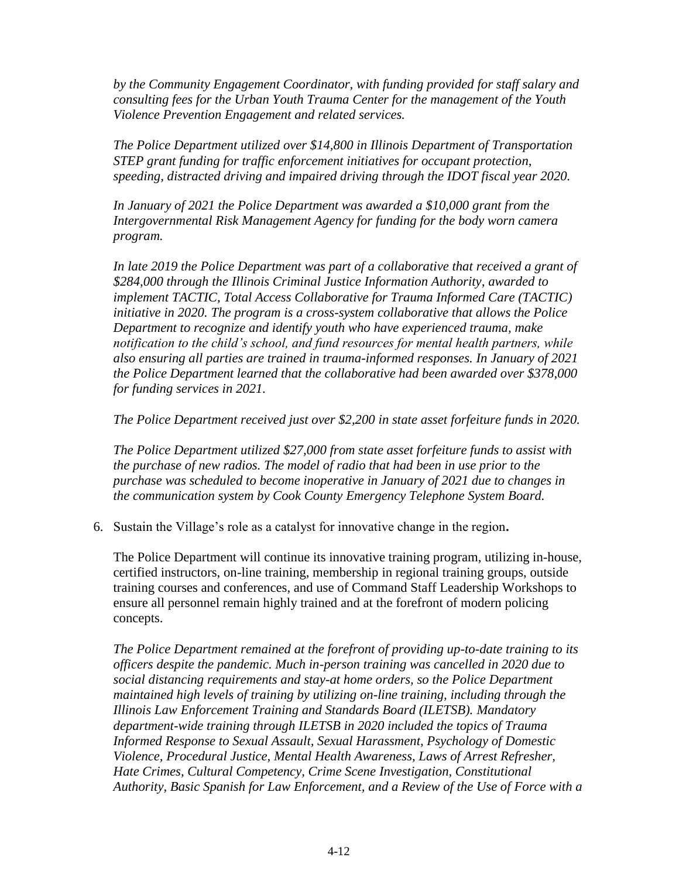*by the Community Engagement Coordinator, with funding provided for staff salary and consulting fees for the Urban Youth Trauma Center for the management of the Youth Violence Prevention Engagement and related services.* 

*The Police Department utilized over \$14,800 in Illinois Department of Transportation STEP grant funding for traffic enforcement initiatives for occupant protection, speeding, distracted driving and impaired driving through the IDOT fiscal year 2020.* 

*In January of 2021 the Police Department was awarded a \$10,000 grant from the Intergovernmental Risk Management Agency for funding for the body worn camera program.* 

*In late 2019 the Police Department was part of a collaborative that received a grant of \$284,000 through the Illinois Criminal Justice Information Authority, awarded to implement TACTIC, Total Access Collaborative for Trauma Informed Care (TACTIC) initiative in 2020. The program is a cross-system collaborative that allows the Police Department to recognize and identify youth who have experienced trauma, make notification to the child's school, and fund resources for mental health partners, while also ensuring all parties are trained in trauma-informed responses. In January of 2021 the Police Department learned that the collaborative had been awarded over \$378,000 for funding services in 2021.* 

*The Police Department received just over \$2,200 in state asset forfeiture funds in 2020.* 

*The Police Department utilized \$27,000 from state asset forfeiture funds to assist with the purchase of new radios. The model of radio that had been in use prior to the purchase was scheduled to become inoperative in January of 2021 due to changes in the communication system by Cook County Emergency Telephone System Board.* 

6. Sustain the Village's role as a catalyst for innovative change in the region**.** 

The Police Department will continue its innovative training program, utilizing in-house, certified instructors, on-line training, membership in regional training groups, outside training courses and conferences, and use of Command Staff Leadership Workshops to ensure all personnel remain highly trained and at the forefront of modern policing concepts.

*The Police Department remained at the forefront of providing up-to-date training to its officers despite the pandemic. Much in-person training was cancelled in 2020 due to social distancing requirements and stay-at home orders, so the Police Department maintained high levels of training by utilizing on-line training, including through the Illinois Law Enforcement Training and Standards Board (ILETSB). Mandatory department-wide training through ILETSB in 2020 included the topics of Trauma Informed Response to Sexual Assault, Sexual Harassment, Psychology of Domestic Violence, Procedural Justice, Mental Health Awareness, Laws of Arrest Refresher, Hate Crimes, Cultural Competency, Crime Scene Investigation, Constitutional Authority, Basic Spanish for Law Enforcement, and a Review of the Use of Force with a*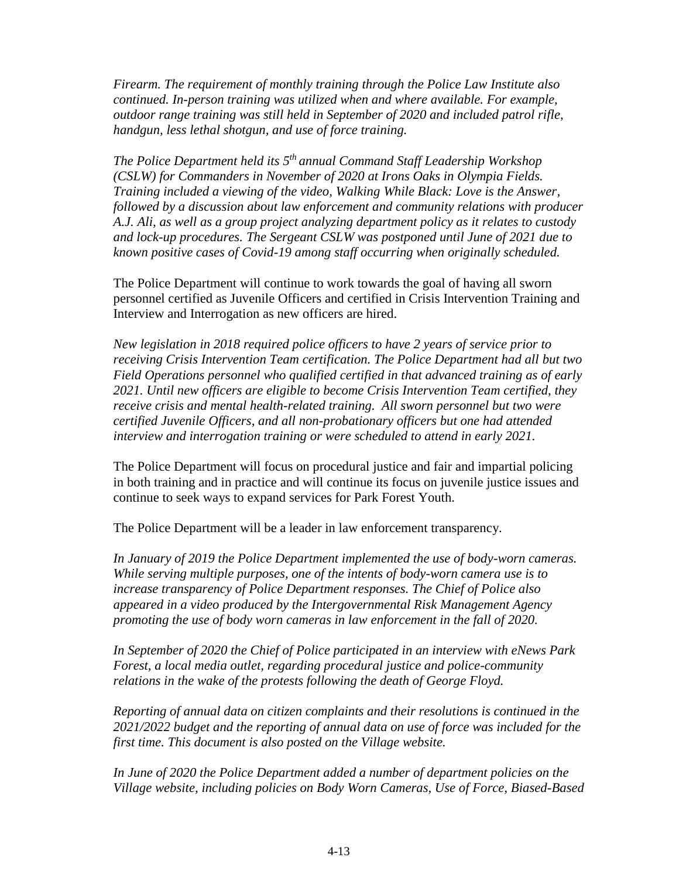*Firearm. The requirement of monthly training through the Police Law Institute also continued. In-person training was utilized when and where available. For example, outdoor range training was still held in September of 2020 and included patrol rifle, handgun, less lethal shotgun, and use of force training.* 

*The Police Department held its 5 th annual Command Staff Leadership Workshop (CSLW) for Commanders in November of 2020 at Irons Oaks in Olympia Fields. Training included a viewing of the video, Walking While Black: Love is the Answer, followed by a discussion about law enforcement and community relations with producer A.J. Ali, as well as a group project analyzing department policy as it relates to custody and lock-up procedures. The Sergeant CSLW was postponed until June of 2021 due to known positive cases of Covid-19 among staff occurring when originally scheduled.* 

The Police Department will continue to work towards the goal of having all sworn personnel certified as Juvenile Officers and certified in Crisis Intervention Training and Interview and Interrogation as new officers are hired.

*New legislation in 2018 required police officers to have 2 years of service prior to receiving Crisis Intervention Team certification. The Police Department had all but two Field Operations personnel who qualified certified in that advanced training as of early 2021. Until new officers are eligible to become Crisis Intervention Team certified, they receive crisis and mental health-related training. All sworn personnel but two were certified Juvenile Officers, and all non-probationary officers but one had attended interview and interrogation training or were scheduled to attend in early 2021.*

The Police Department will focus on procedural justice and fair and impartial policing in both training and in practice and will continue its focus on juvenile justice issues and continue to seek ways to expand services for Park Forest Youth.

The Police Department will be a leader in law enforcement transparency.

*In January of 2019 the Police Department implemented the use of body-worn cameras. While serving multiple purposes, one of the intents of body-worn camera use is to increase transparency of Police Department responses. The Chief of Police also appeared in a video produced by the Intergovernmental Risk Management Agency promoting the use of body worn cameras in law enforcement in the fall of 2020.* 

*In September of 2020 the Chief of Police participated in an interview with eNews Park Forest, a local media outlet, regarding procedural justice and police-community relations in the wake of the protests following the death of George Floyd.* 

*Reporting of annual data on citizen complaints and their resolutions is continued in the 2021/2022 budget and the reporting of annual data on use of force was included for the first time. This document is also posted on the Village website.* 

*In June of 2020 the Police Department added a number of department policies on the Village website, including policies on Body Worn Cameras, Use of Force, Biased-Based*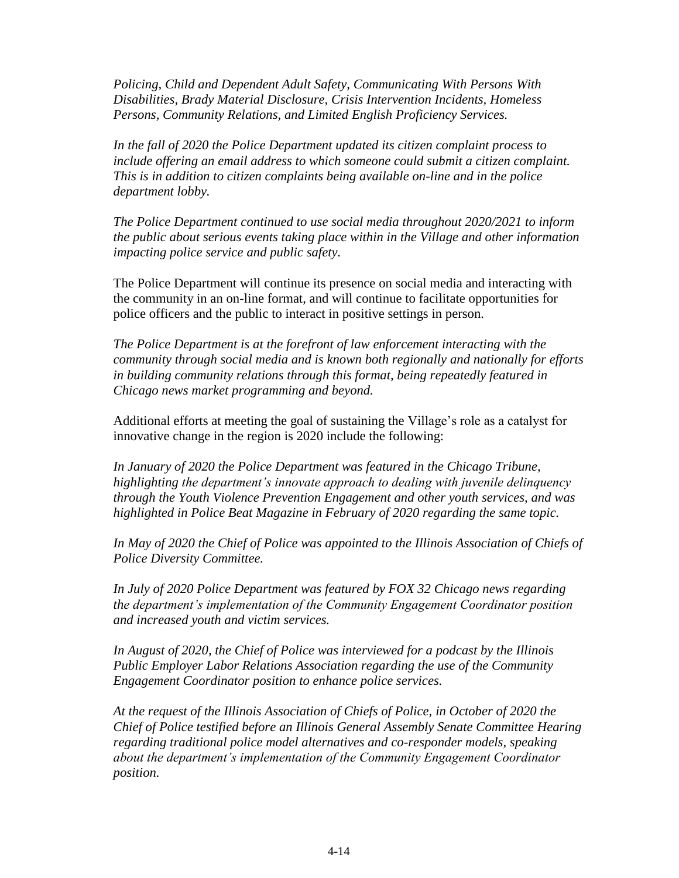*Policing, Child and Dependent Adult Safety, Communicating With Persons With Disabilities, Brady Material Disclosure, Crisis Intervention Incidents, Homeless Persons, Community Relations, and Limited English Proficiency Services.* 

*In the fall of 2020 the Police Department updated its citizen complaint process to include offering an email address to which someone could submit a citizen complaint. This is in addition to citizen complaints being available on-line and in the police department lobby.* 

*The Police Department continued to use social media throughout 2020/2021 to inform the public about serious events taking place within in the Village and other information impacting police service and public safety.* 

The Police Department will continue its presence on social media and interacting with the community in an on-line format, and will continue to facilitate opportunities for police officers and the public to interact in positive settings in person.

*The Police Department is at the forefront of law enforcement interacting with the community through social media and is known both regionally and nationally for efforts in building community relations through this format, being repeatedly featured in Chicago news market programming and beyond.* 

Additional efforts at meeting the goal of sustaining the Village's role as a catalyst for innovative change in the region is 2020 include the following:

*In January of 2020 the Police Department was featured in the Chicago Tribune, highlighting the department's innovate approach to dealing with juvenile delinquency through the Youth Violence Prevention Engagement and other youth services, and was highlighted in Police Beat Magazine in February of 2020 regarding the same topic.* 

*In May of 2020 the Chief of Police was appointed to the Illinois Association of Chiefs of Police Diversity Committee.* 

*In July of 2020 Police Department was featured by FOX 32 Chicago news regarding the department's implementation of the Community Engagement Coordinator position and increased youth and victim services.*

*In August of 2020, the Chief of Police was interviewed for a podcast by the Illinois Public Employer Labor Relations Association regarding the use of the Community Engagement Coordinator position to enhance police services.* 

*At the request of the Illinois Association of Chiefs of Police, in October of 2020 the Chief of Police testified before an Illinois General Assembly Senate Committee Hearing regarding traditional police model alternatives and co-responder models, speaking about the department's implementation of the Community Engagement Coordinator position.*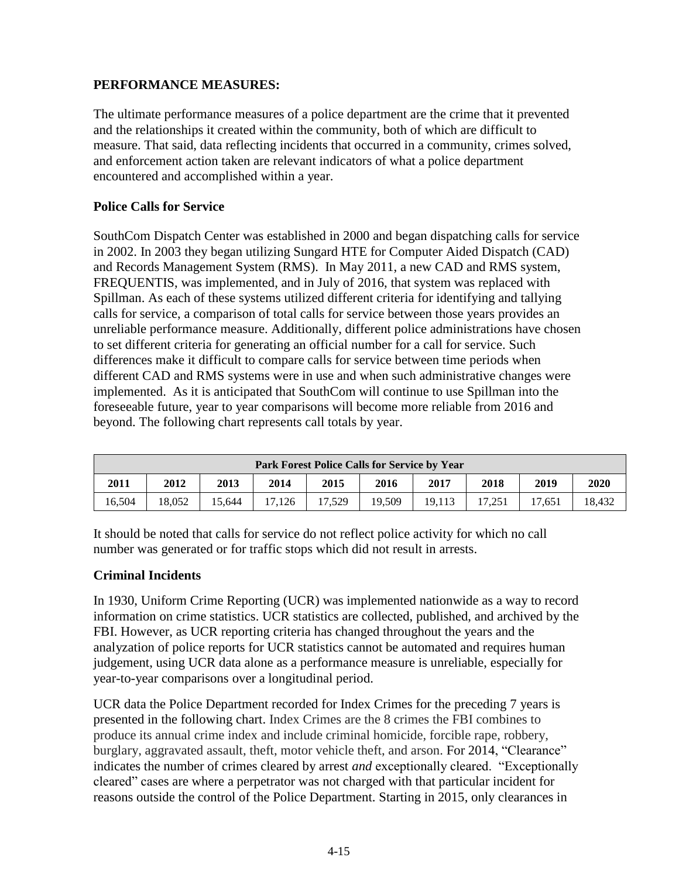# **PERFORMANCE MEASURES:**

The ultimate performance measures of a police department are the crime that it prevented and the relationships it created within the community, both of which are difficult to measure. That said, data reflecting incidents that occurred in a community, crimes solved, and enforcement action taken are relevant indicators of what a police department encountered and accomplished within a year.

## **Police Calls for Service**

SouthCom Dispatch Center was established in 2000 and began dispatching calls for service in 2002. In 2003 they began utilizing Sungard HTE for Computer Aided Dispatch (CAD) and Records Management System (RMS). In May 2011, a new CAD and RMS system, FREQUENTIS, was implemented, and in July of 2016, that system was replaced with Spillman. As each of these systems utilized different criteria for identifying and tallying calls for service, a comparison of total calls for service between those years provides an unreliable performance measure. Additionally, different police administrations have chosen to set different criteria for generating an official number for a call for service. Such differences make it difficult to compare calls for service between time periods when different CAD and RMS systems were in use and when such administrative changes were implemented. As it is anticipated that SouthCom will continue to use Spillman into the foreseeable future, year to year comparisons will become more reliable from 2016 and beyond. The following chart represents call totals by year.

|                                                                      | Park Forest Police Calls for Service by Year |        |        |        |        |        |        |        |        |  |  |
|----------------------------------------------------------------------|----------------------------------------------|--------|--------|--------|--------|--------|--------|--------|--------|--|--|
| 2018<br>2011<br>2016<br>2013<br>2012<br>2014<br>2015<br>2017<br>2019 |                                              |        |        |        |        |        |        |        | 2020   |  |  |
| 16.504                                                               | 18.052                                       | 15.644 | 17.126 | 17.529 | 19.509 | 19.113 | 17.251 | 17.651 | 18.432 |  |  |

It should be noted that calls for service do not reflect police activity for which no call number was generated or for traffic stops which did not result in arrests.

#### **Criminal Incidents**

In 1930, Uniform Crime Reporting (UCR) was implemented nationwide as a way to record information on crime statistics. UCR statistics are collected, published, and archived by the FBI. However, as UCR reporting criteria has changed throughout the years and the analyzation of police reports for UCR statistics cannot be automated and requires human judgement, using UCR data alone as a performance measure is unreliable, especially for year-to-year comparisons over a longitudinal period.

UCR data the Police Department recorded for Index Crimes for the preceding 7 years is presented in the following chart. Index Crimes are the 8 crimes the FBI combines to produce its annual crime index and include criminal homicide, forcible rape, robbery, burglary, aggravated assault, theft, motor vehicle theft, and arson. For 2014, "Clearance" indicates the number of crimes cleared by arrest *and* exceptionally cleared. "Exceptionally cleared" cases are where a perpetrator was not charged with that particular incident for reasons outside the control of the Police Department. Starting in 2015, only clearances in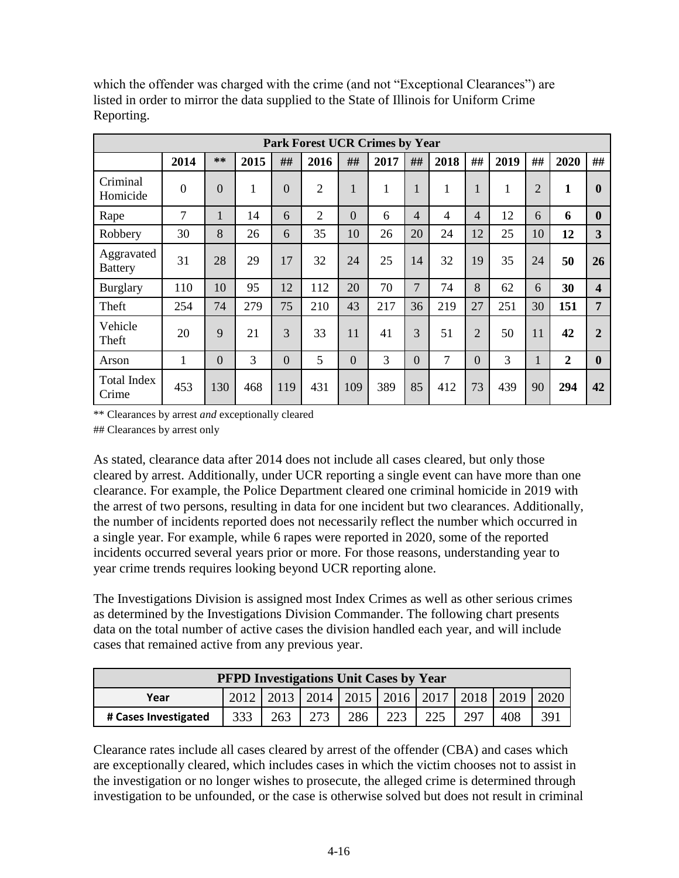|                              | <b>Park Forest UCR Crimes by Year</b> |                |              |                |                |                |              |                |      |                |      |                |                |                         |
|------------------------------|---------------------------------------|----------------|--------------|----------------|----------------|----------------|--------------|----------------|------|----------------|------|----------------|----------------|-------------------------|
|                              | 2014                                  | $**$           | 2015         | ##             | 2016           | ##             | 2017         | ##             | 2018 | ##             | 2019 | ##             | 2020           | ##                      |
| Criminal<br>Homicide         | $\boldsymbol{0}$                      | $\overline{0}$ | $\mathbf{1}$ | $\overline{0}$ | $\overline{2}$ | $\mathbf{1}$   | $\mathbf{1}$ | 1              | 1    | 1              | 1    | $\overline{2}$ | $\mathbf{1}$   | $\mathbf{0}$            |
| Rape                         | $\overline{7}$                        | $\mathbf{1}$   | 14           | 6              | $\overline{2}$ | $\overline{0}$ | 6            | $\overline{4}$ | 4    | 4              | 12   | 6              | 6              | $\mathbf{0}$            |
| Robbery                      | 30                                    | 8              | 26           | 6              | 35             | 10             | 26           | 20             | 24   | 12             | 25   | 10             | 12             | 3 <sup>1</sup>          |
| Aggravated<br><b>Battery</b> | 31                                    | 28             | 29           | 17             | 32             | 24             | 25           | 14             | 32   | 19             | 35   | 24             | 50             | 26                      |
| <b>Burglary</b>              | 110                                   | 10             | 95           | 12             | 112            | 20             | 70           | 7              | 74   | 8              | 62   | 6              | 30             | $\overline{\mathbf{4}}$ |
| Theft                        | 254                                   | 74             | 279          | 75             | 210            | 43             | 217          | 36             | 219  | 27             | 251  | 30             | 151            | 7                       |
| Vehicle<br>Theft             | 20                                    | 9              | 21           | 3              | 33             | 11             | 41           | 3              | 51   | $\overline{2}$ | 50   | 11             | 42             | $\mathbf{2}$            |
| Arson                        | $\mathbf{1}$                          | $\overline{0}$ | 3            | $\overline{0}$ | 5              | $\overline{0}$ | 3            | $\Omega$       | 7    | $\theta$       | 3    | 1              | $\overline{2}$ | $\bf{0}$                |
| <b>Total Index</b><br>Crime  | 453                                   | 130            | 468          | 119            | 431            | 109            | 389          | 85             | 412  | 73             | 439  | 90             | 294            | 42                      |

which the offender was charged with the crime (and not "Exceptional Clearances") are listed in order to mirror the data supplied to the State of Illinois for Uniform Crime Reporting.

\*\* Clearances by arrest *and* exceptionally cleared

## Clearances by arrest only

As stated, clearance data after 2014 does not include all cases cleared, but only those cleared by arrest. Additionally, under UCR reporting a single event can have more than one clearance. For example, the Police Department cleared one criminal homicide in 2019 with the arrest of two persons, resulting in data for one incident but two clearances. Additionally, the number of incidents reported does not necessarily reflect the number which occurred in a single year. For example, while 6 rapes were reported in 2020, some of the reported incidents occurred several years prior or more. For those reasons, understanding year to year crime trends requires looking beyond UCR reporting alone.

The Investigations Division is assigned most Index Crimes as well as other serious crimes as determined by the Investigations Division Commander. The following chart presents data on the total number of active cases the division handled each year, and will include cases that remained active from any previous year.

| <b>PFPD Investigations Unit Cases by Year</b>                                       |  |  |  |                                                       |  |  |  |  |      |  |
|-------------------------------------------------------------------------------------|--|--|--|-------------------------------------------------------|--|--|--|--|------|--|
| Year                                                                                |  |  |  | 2012   2013   2014   2015   2016   2017   2018   2019 |  |  |  |  | 2020 |  |
| 333<br>223<br>273<br>286<br>225<br>408<br>263<br>297<br>391<br># Cases Investigated |  |  |  |                                                       |  |  |  |  |      |  |

Clearance rates include all cases cleared by arrest of the offender (CBA) and cases which are exceptionally cleared, which includes cases in which the victim chooses not to assist in the investigation or no longer wishes to prosecute, the alleged crime is determined through investigation to be unfounded, or the case is otherwise solved but does not result in criminal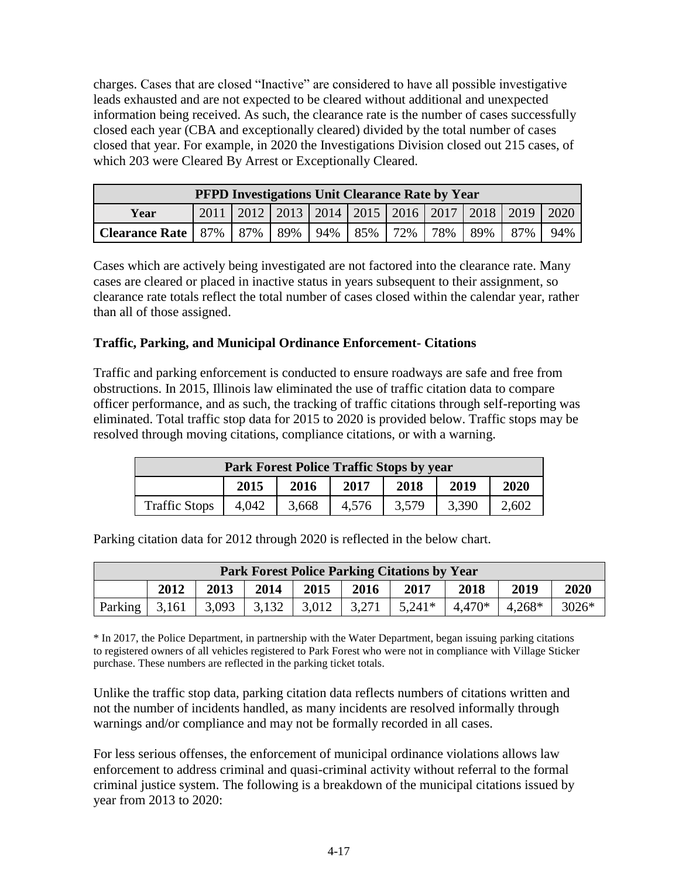charges. Cases that are closed "Inactive" are considered to have all possible investigative leads exhausted and are not expected to be cleared without additional and unexpected information being received. As such, the clearance rate is the number of cases successfully closed each year (CBA and exceptionally cleared) divided by the total number of cases closed that year. For example, in 2020 the Investigations Division closed out 215 cases, of which 203 were Cleared By Arrest or Exceptionally Cleared.

| <b>PFPD Investigations Unit Clearance Rate by Year</b>                           |                                                                     |  |  |  |  |  |  |  |     |  |  |
|----------------------------------------------------------------------------------|---------------------------------------------------------------------|--|--|--|--|--|--|--|-----|--|--|
| Year                                                                             | 2011   2012   2013   2014   2015   2016   2017   2018   2019   2020 |  |  |  |  |  |  |  |     |  |  |
| <b>Clearance Rate</b>   87%   87%   89%   94%   85%   72%   78%   89%  <br>87% I |                                                                     |  |  |  |  |  |  |  | 94% |  |  |

Cases which are actively being investigated are not factored into the clearance rate. Many cases are cleared or placed in inactive status in years subsequent to their assignment, so clearance rate totals reflect the total number of cases closed within the calendar year, rather than all of those assigned.

## **Traffic, Parking, and Municipal Ordinance Enforcement- Citations**

Traffic and parking enforcement is conducted to ensure roadways are safe and free from obstructions. In 2015, Illinois law eliminated the use of traffic citation data to compare officer performance, and as such, the tracking of traffic citations through self-reporting was eliminated. Total traffic stop data for 2015 to 2020 is provided below. Traffic stops may be resolved through moving citations, compliance citations, or with a warning.

| Park Forest Police Traffic Stops by year                                   |                                              |  |  |  |  |  |  |  |  |  |
|----------------------------------------------------------------------------|----------------------------------------------|--|--|--|--|--|--|--|--|--|
|                                                                            | 2015<br>2019<br>2017<br>2018<br>2020<br>2016 |  |  |  |  |  |  |  |  |  |
| 4.042<br>3,390<br><b>Traffic Stops</b><br>3,668<br>3,579<br>4,576<br>2,602 |                                              |  |  |  |  |  |  |  |  |  |

Parking citation data for 2012 through 2020 is reflected in the below chart.

| <b>Park Forest Police Parking Citations by Year</b> |                                                                                                     |  |  |  |  |  |  |  |  |  |
|-----------------------------------------------------|-----------------------------------------------------------------------------------------------------|--|--|--|--|--|--|--|--|--|
|                                                     | 2020<br>2015<br>2012<br>2013<br>2019<br>2014<br>2017<br>2018<br>2016                                |  |  |  |  |  |  |  |  |  |
|                                                     | 3,132<br>$3026*$<br>3,093<br>3,012<br>$4,268*$<br>Parking<br>3.271<br>$5,241*$<br>3,161<br>$4.470*$ |  |  |  |  |  |  |  |  |  |

\* In 2017, the Police Department, in partnership with the Water Department, began issuing parking citations to registered owners of all vehicles registered to Park Forest who were not in compliance with Village Sticker purchase. These numbers are reflected in the parking ticket totals.

Unlike the traffic stop data, parking citation data reflects numbers of citations written and not the number of incidents handled, as many incidents are resolved informally through warnings and/or compliance and may not be formally recorded in all cases.

For less serious offenses, the enforcement of municipal ordinance violations allows law enforcement to address criminal and quasi-criminal activity without referral to the formal criminal justice system. The following is a breakdown of the municipal citations issued by year from 2013 to 2020: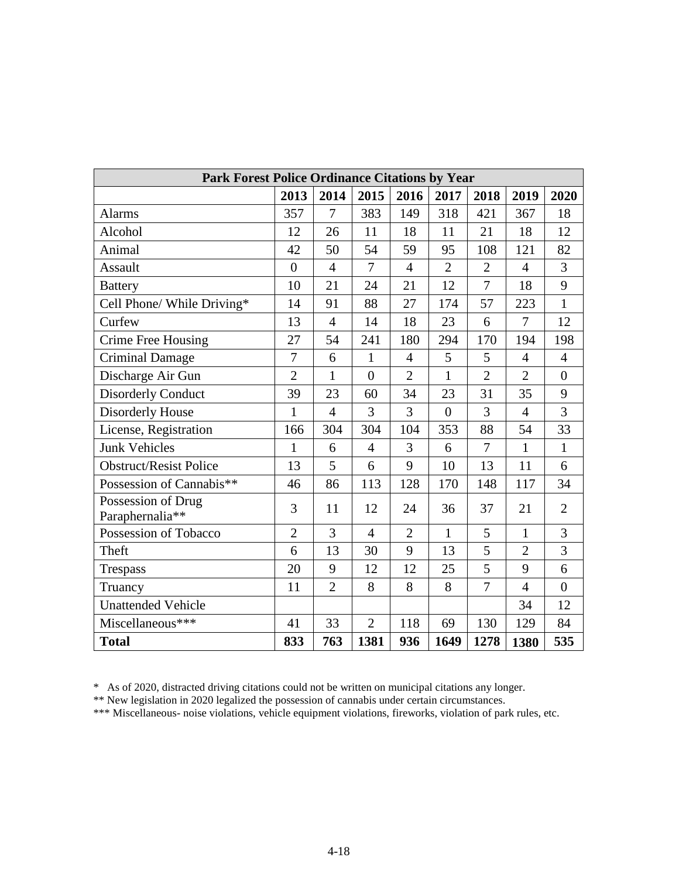| Park Forest Police Ordinance Citations by Year |                |                |                |                |                |                |                |                  |
|------------------------------------------------|----------------|----------------|----------------|----------------|----------------|----------------|----------------|------------------|
|                                                | 2013           | 2014           | 2015           | 2016           | 2017           | 2018           | 2019           | 2020             |
| Alarms                                         | 357            | $\overline{7}$ | 383            | 149            | 318            | 421            | 367            | 18               |
| Alcohol                                        | 12             | 26             | 11             | 18             | 11             | 21             | 18             | 12               |
| Animal                                         | 42             | 50             | 54             | 59             | 95             | 108            | 121            | 82               |
| Assault                                        | $\overline{0}$ | $\overline{4}$ | $\overline{7}$ | $\overline{4}$ | $\overline{2}$ | $\overline{2}$ | $\overline{4}$ | $\overline{3}$   |
| <b>Battery</b>                                 | 10             | 21             | 24             | 21             | 12             | $\overline{7}$ | 18             | 9                |
| Cell Phone/ While Driving*                     | 14             | 91             | 88             | 27             | 174            | 57             | 223            | $\mathbf{1}$     |
| Curfew                                         | 13             | $\overline{4}$ | 14             | 18             | 23             | 6              | 7              | 12               |
| Crime Free Housing                             | 27             | 54             | 241            | 180            | 294            | 170            | 194            | 198              |
| <b>Criminal Damage</b>                         | 7              | 6              | $\mathbf{1}$   | $\overline{4}$ | 5              | 5              | $\overline{4}$ | $\overline{4}$   |
| Discharge Air Gun                              | $\overline{2}$ | $\mathbf{1}$   | $\overline{0}$ | $\overline{2}$ | $\mathbf{1}$   | $\overline{2}$ | $\overline{2}$ | $\boldsymbol{0}$ |
| <b>Disorderly Conduct</b>                      | 39             | 23             | 60             | 34             | 23             | 31             | 35             | 9                |
| Disorderly House                               | 1              | $\overline{4}$ | 3              | 3              | $\overline{0}$ | 3              | $\overline{4}$ | $\overline{3}$   |
| License, Registration                          | 166            | 304            | 304            | 104            | 353            | 88             | 54             | 33               |
| <b>Junk Vehicles</b>                           | $\mathbf{1}$   | 6              | 4              | 3              | 6              | 7              | $\mathbf{1}$   | $\mathbf{1}$     |
| <b>Obstruct/Resist Police</b>                  | 13             | 5              | 6              | 9              | 10             | 13             | 11             | 6                |
| Possession of Cannabis**                       | 46             | 86             | 113            | 128            | 170            | 148            | 117            | 34               |
| Possession of Drug<br>Paraphernalia**          | 3              | 11             | 12             | 24             | 36             | 37             | 21             | $\overline{2}$   |
| Possession of Tobacco                          | $\overline{2}$ | 3              | $\overline{4}$ | $\overline{2}$ | $\mathbf{1}$   | 5              | $\mathbf{1}$   | 3                |
| Theft                                          | 6              | 13             | 30             | 9              | 13             | 5              | $\overline{2}$ | 3                |
| Trespass                                       | 20             | 9              | 12             | 12             | 25             | 5              | 9              | 6                |
| Truancy                                        | 11             | $\overline{2}$ | 8              | 8              | 8              | 7              | $\overline{4}$ | $\overline{0}$   |
| <b>Unattended Vehicle</b>                      |                |                |                |                |                |                | 34             | 12               |
| Miscellaneous***                               | 41             | 33             | $\overline{2}$ | 118            | 69             | 130            | 129            | 84               |
| <b>Total</b>                                   | 833            | 763            | 1381           | 936            | 1649           | 1278           | 1380           | 535              |

\* As of 2020, distracted driving citations could not be written on municipal citations any longer.

\*\* New legislation in 2020 legalized the possession of cannabis under certain circumstances.

\*\*\* Miscellaneous- noise violations, vehicle equipment violations, fireworks, violation of park rules, etc.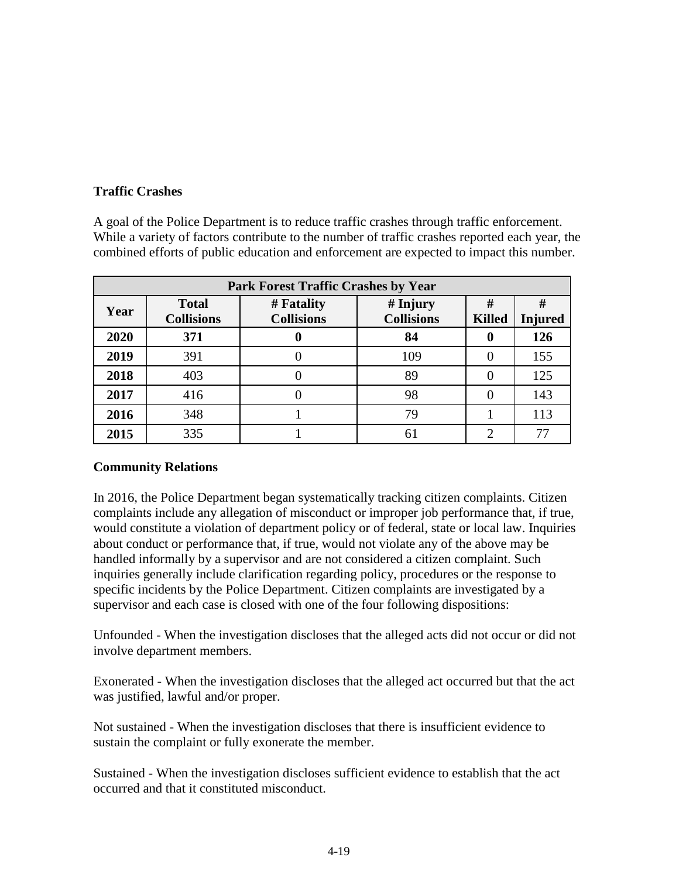# **Traffic Crashes**

A goal of the Police Department is to reduce traffic crashes through traffic enforcement. While a variety of factors contribute to the number of traffic crashes reported each year, the combined efforts of public education and enforcement are expected to impact this number.

|      | <b>Park Forest Traffic Crashes by Year</b> |                                                                    |     |   |     |  |  |  |  |  |  |
|------|--------------------------------------------|--------------------------------------------------------------------|-----|---|-----|--|--|--|--|--|--|
| Year | <b>Total</b><br><b>Collisions</b>          | $#$ Injury<br># Fatality<br><b>Collisions</b><br><b>Collisions</b> |     |   |     |  |  |  |  |  |  |
| 2020 | 371                                        |                                                                    | 84  | O | 126 |  |  |  |  |  |  |
| 2019 | 391                                        |                                                                    | 109 |   | 155 |  |  |  |  |  |  |
| 2018 | 403                                        |                                                                    | 89  |   | 125 |  |  |  |  |  |  |
| 2017 | 416                                        |                                                                    | 98  |   | 143 |  |  |  |  |  |  |
| 2016 | 348                                        |                                                                    | 79  |   | 113 |  |  |  |  |  |  |
| 2015 | 335                                        |                                                                    | 61  | ◠ | 77  |  |  |  |  |  |  |

# **Community Relations**

In 2016, the Police Department began systematically tracking citizen complaints. Citizen complaints include any allegation of misconduct or improper job performance that, if true, would constitute a violation of department policy or of federal, state or local law. Inquiries about conduct or performance that, if true, would not violate any of the above may be handled informally by a supervisor and are not considered a citizen complaint. Such inquiries generally include clarification regarding policy, procedures or the response to specific incidents by the Police Department. Citizen complaints are investigated by a supervisor and each case is closed with one of the four following dispositions:

Unfounded - When the investigation discloses that the alleged acts did not occur or did not involve department members.

Exonerated - When the investigation discloses that the alleged act occurred but that the act was justified, lawful and/or proper.

Not sustained - When the investigation discloses that there is insufficient evidence to sustain the complaint or fully exonerate the member.

Sustained - When the investigation discloses sufficient evidence to establish that the act occurred and that it constituted misconduct.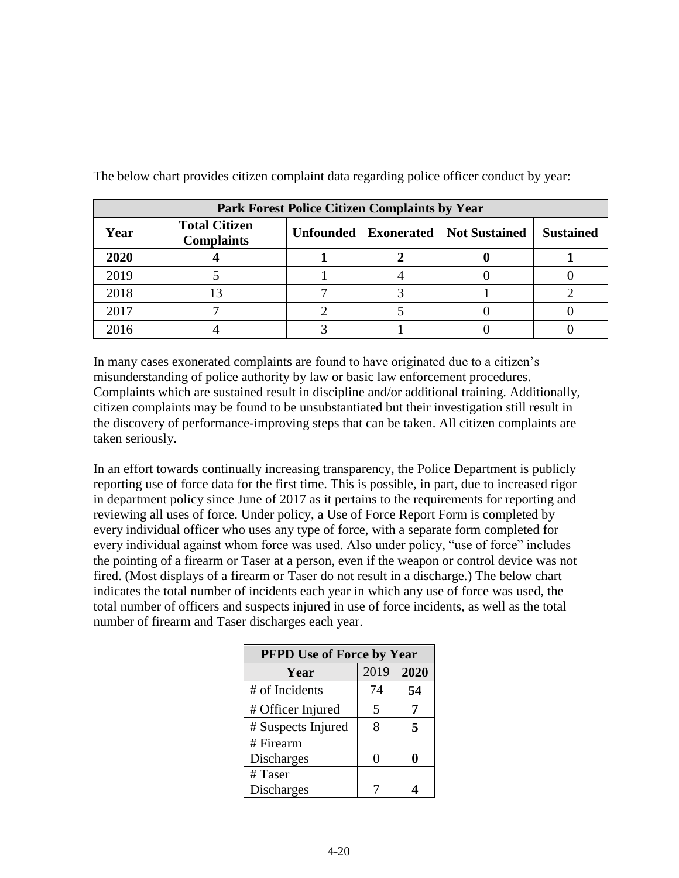|      | <b>Park Forest Police Citizen Complaints by Year</b> |                                                            |  |  |  |  |  |  |  |  |
|------|------------------------------------------------------|------------------------------------------------------------|--|--|--|--|--|--|--|--|
| Year | <b>Total Citizen</b><br><b>Complaints</b>            | Unfounded   Exonerated   Not Sustained<br><b>Sustained</b> |  |  |  |  |  |  |  |  |
| 2020 |                                                      |                                                            |  |  |  |  |  |  |  |  |
| 2019 |                                                      |                                                            |  |  |  |  |  |  |  |  |
| 2018 |                                                      |                                                            |  |  |  |  |  |  |  |  |
| 2017 |                                                      |                                                            |  |  |  |  |  |  |  |  |
| 2016 |                                                      |                                                            |  |  |  |  |  |  |  |  |

The below chart provides citizen complaint data regarding police officer conduct by year:

In many cases exonerated complaints are found to have originated due to a citizen's misunderstanding of police authority by law or basic law enforcement procedures. Complaints which are sustained result in discipline and/or additional training. Additionally, citizen complaints may be found to be unsubstantiated but their investigation still result in the discovery of performance-improving steps that can be taken. All citizen complaints are taken seriously.

In an effort towards continually increasing transparency, the Police Department is publicly reporting use of force data for the first time. This is possible, in part, due to increased rigor in department policy since June of 2017 as it pertains to the requirements for reporting and reviewing all uses of force. Under policy, a Use of Force Report Form is completed by every individual officer who uses any type of force, with a separate form completed for every individual against whom force was used. Also under policy, "use of force" includes the pointing of a firearm or Taser at a person, even if the weapon or control device was not fired. (Most displays of a firearm or Taser do not result in a discharge.) The below chart indicates the total number of incidents each year in which any use of force was used, the total number of officers and suspects injured in use of force incidents, as well as the total number of firearm and Taser discharges each year.

| <b>PFPD Use of Force by Year</b> |      |      |  |  |  |  |  |  |
|----------------------------------|------|------|--|--|--|--|--|--|
| Year                             | 2019 | 2020 |  |  |  |  |  |  |
| # of Incidents                   | 74   | 54   |  |  |  |  |  |  |
| # Officer Injured                | 5    |      |  |  |  |  |  |  |
| # Suspects Injured               | 8    | 5    |  |  |  |  |  |  |
| # Firearm                        |      |      |  |  |  |  |  |  |
| <b>Discharges</b>                | 0    |      |  |  |  |  |  |  |
| $#$ Taser                        |      |      |  |  |  |  |  |  |
| <b>Discharges</b>                |      |      |  |  |  |  |  |  |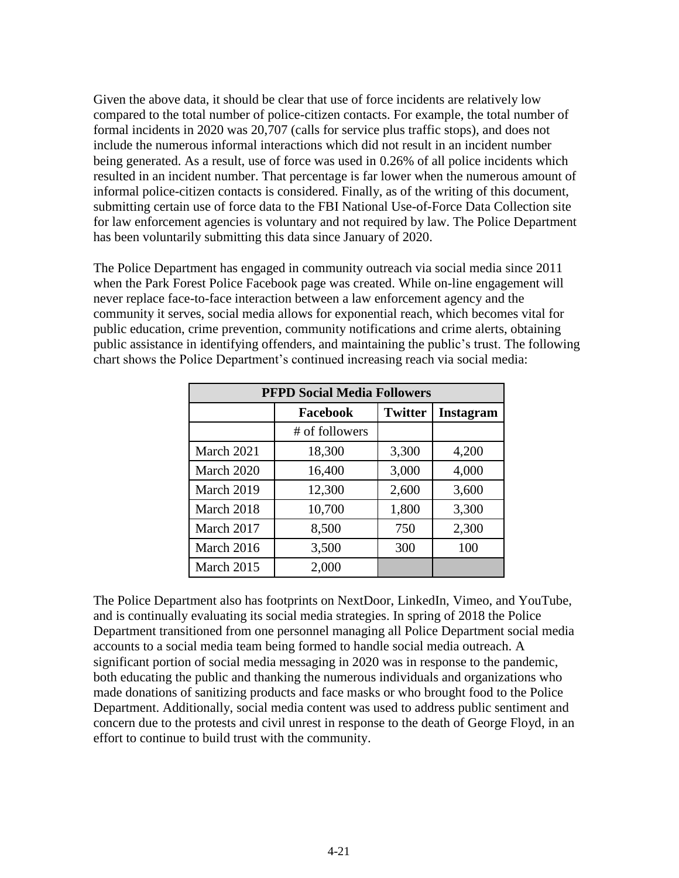Given the above data, it should be clear that use of force incidents are relatively low compared to the total number of police-citizen contacts. For example, the total number of formal incidents in 2020 was 20,707 (calls for service plus traffic stops), and does not include the numerous informal interactions which did not result in an incident number being generated. As a result, use of force was used in 0.26% of all police incidents which resulted in an incident number. That percentage is far lower when the numerous amount of informal police-citizen contacts is considered. Finally, as of the writing of this document, submitting certain use of force data to the FBI National Use-of-Force Data Collection site for law enforcement agencies is voluntary and not required by law. The Police Department has been voluntarily submitting this data since January of 2020.

The Police Department has engaged in community outreach via social media since 2011 when the Park Forest Police Facebook page was created. While on-line engagement will never replace face-to-face interaction between a law enforcement agency and the community it serves, social media allows for exponential reach, which becomes vital for public education, crime prevention, community notifications and crime alerts, obtaining public assistance in identifying offenders, and maintaining the public's trust. The following chart shows the Police Department's continued increasing reach via social media:

| <b>PFPD Social Media Followers</b> |                |                |           |  |  |  |  |  |  |
|------------------------------------|----------------|----------------|-----------|--|--|--|--|--|--|
|                                    | Facebook       | <b>Twitter</b> | Instagram |  |  |  |  |  |  |
|                                    | # of followers |                |           |  |  |  |  |  |  |
| March 2021                         | 18,300         | 3,300          | 4,200     |  |  |  |  |  |  |
| March 2020                         | 16,400         | 3,000          | 4,000     |  |  |  |  |  |  |
| March 2019                         | 12,300         | 2,600          | 3,600     |  |  |  |  |  |  |
| March 2018                         | 10,700         | 1,800          | 3,300     |  |  |  |  |  |  |
| March 2017                         | 8,500          | 750            | 2,300     |  |  |  |  |  |  |
| March 2016                         | 3,500          | 300            | 100       |  |  |  |  |  |  |
| March 2015                         | 2,000          |                |           |  |  |  |  |  |  |

The Police Department also has footprints on NextDoor, LinkedIn, Vimeo, and YouTube, and is continually evaluating its social media strategies. In spring of 2018 the Police Department transitioned from one personnel managing all Police Department social media accounts to a social media team being formed to handle social media outreach. A significant portion of social media messaging in 2020 was in response to the pandemic, both educating the public and thanking the numerous individuals and organizations who made donations of sanitizing products and face masks or who brought food to the Police Department. Additionally, social media content was used to address public sentiment and concern due to the protests and civil unrest in response to the death of George Floyd, in an effort to continue to build trust with the community.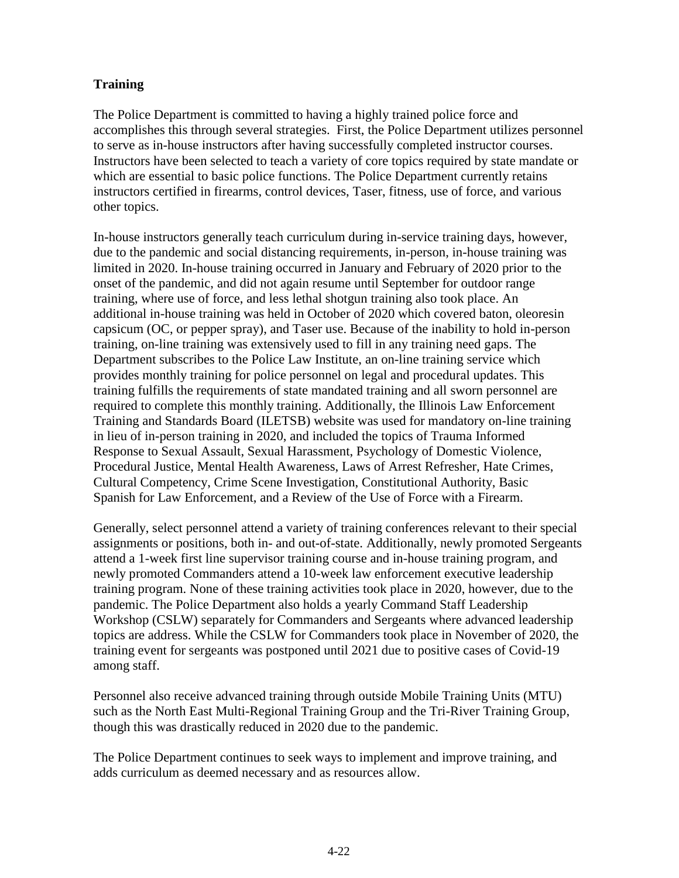# **Training**

The Police Department is committed to having a highly trained police force and accomplishes this through several strategies. First, the Police Department utilizes personnel to serve as in-house instructors after having successfully completed instructor courses. Instructors have been selected to teach a variety of core topics required by state mandate or which are essential to basic police functions. The Police Department currently retains instructors certified in firearms, control devices, Taser, fitness, use of force, and various other topics.

In-house instructors generally teach curriculum during in-service training days, however, due to the pandemic and social distancing requirements, in-person, in-house training was limited in 2020. In-house training occurred in January and February of 2020 prior to the onset of the pandemic, and did not again resume until September for outdoor range training, where use of force, and less lethal shotgun training also took place. An additional in-house training was held in October of 2020 which covered baton, oleoresin capsicum (OC, or pepper spray), and Taser use. Because of the inability to hold in-person training, on-line training was extensively used to fill in any training need gaps. The Department subscribes to the Police Law Institute, an on-line training service which provides monthly training for police personnel on legal and procedural updates. This training fulfills the requirements of state mandated training and all sworn personnel are required to complete this monthly training. Additionally, the Illinois Law Enforcement Training and Standards Board (ILETSB) website was used for mandatory on-line training in lieu of in-person training in 2020, and included the topics of Trauma Informed Response to Sexual Assault, Sexual Harassment, Psychology of Domestic Violence, Procedural Justice, Mental Health Awareness, Laws of Arrest Refresher, Hate Crimes, Cultural Competency, Crime Scene Investigation, Constitutional Authority, Basic Spanish for Law Enforcement, and a Review of the Use of Force with a Firearm.

Generally, select personnel attend a variety of training conferences relevant to their special assignments or positions, both in- and out-of-state. Additionally, newly promoted Sergeants attend a 1-week first line supervisor training course and in-house training program, and newly promoted Commanders attend a 10-week law enforcement executive leadership training program. None of these training activities took place in 2020, however, due to the pandemic. The Police Department also holds a yearly Command Staff Leadership Workshop (CSLW) separately for Commanders and Sergeants where advanced leadership topics are address. While the CSLW for Commanders took place in November of 2020, the training event for sergeants was postponed until 2021 due to positive cases of Covid-19 among staff.

Personnel also receive advanced training through outside Mobile Training Units (MTU) such as the North East Multi-Regional Training Group and the Tri-River Training Group, though this was drastically reduced in 2020 due to the pandemic.

The Police Department continues to seek ways to implement and improve training, and adds curriculum as deemed necessary and as resources allow.